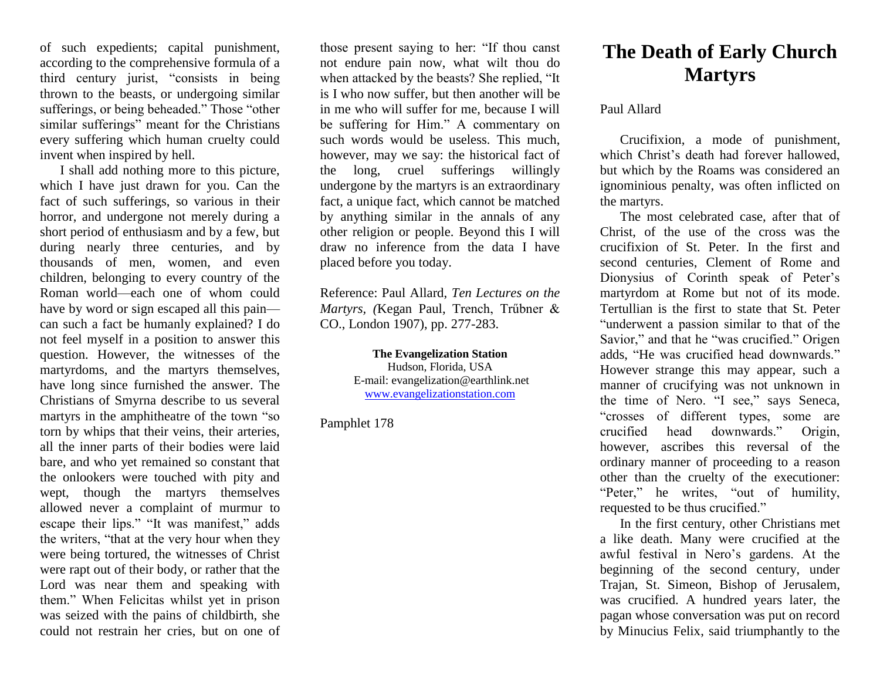of such expedients; capital punishment, according to the comprehensive formula of a third century jurist, "consists in being thrown to the beasts, or undergoing similar sufferings, or being beheaded." Those "other similar sufferings" meant for the Christians every suffering which human cruelty could invent when inspired by hell.

I shall add nothing more to this picture, which I have just drawn for you. Can the fact of such sufferings, so various in their horror, and undergone not merely during a short period of enthusiasm and by a few, but during nearly three centuries, and by thousands of men, women, and even children, belonging to every country of the Roman world—each one of whom could have by word or sign escaped all this pain can such a fact be humanly explained? I do not feel myself in a position to answer this question. However, the witnesses of the martyrdoms, and the martyrs themselves, have long since furnished the answer. The Christians of Smyrna describe to us several martyrs in the amphitheatre of the town "so torn by whips that their veins, their arteries, all the inner parts of their bodies were laid bare, and who yet remained so constant that the onlookers were touched with pity and wept, though the martyrs themselves allowed never a complaint of murmur to escape their lips." "It was manifest," adds the writers, "that at the very hour when they were being tortured, the witnesses of Christ were rapt out of their body, or rather that the Lord was near them and speaking with them." When Felicitas whilst yet in prison was seized with the pains of childbirth, she could not restrain her cries, but on one of those present saying to her: "If thou canst not endure pain now, what wilt thou do when attacked by the beasts? She replied, "It is I who now suffer, but then another will be in me who will suffer for me, because I will be suffering for Him." A commentary on such words would be useless. This much, however, may we say: the historical fact of the long, cruel sufferings willingly undergone by the martyrs is an extraordinary fact, a unique fact, which cannot be matched by anything similar in the annals of any other religion or people. Beyond this I will draw no inference from the data I have placed before you today.

Reference: Paul Allard, *Ten Lectures on the Martyrs, (*Kegan Paul, Trench, Trűbner & CO., London 1907), pp. 277-283.

> **The Evangelization Station** Hudson, Florida, USA E-mail: evangelization@earthlink.net [www.evangelizationstation.com](http://www.pjpiisoe.org/)

Pamphlet 178

## **The Death of Early Church Martyrs**

## Paul Allard

Crucifixion, a mode of punishment, which Christ's death had forever hallowed, but which by the Roams was considered an ignominious penalty, was often inflicted on the martyrs.

The most celebrated case, after that of Christ, of the use of the cross was the crucifixion of St. Peter. In the first and second centuries, Clement of Rome and Dionysius of Corinth speak of Peter's martyrdom at Rome but not of its mode. Tertullian is the first to state that St. Peter "underwent a passion similar to that of the Savior," and that he "was crucified." Origen adds, "He was crucified head downwards." However strange this may appear, such a manner of crucifying was not unknown in the time of Nero. "I see," says Seneca, "crosses of different types, some are crucified head downwards." Origin, however, ascribes this reversal of the ordinary manner of proceeding to a reason other than the cruelty of the executioner: "Peter," he writes, "out of humility, requested to be thus crucified."

In the first century, other Christians met a like death. Many were crucified at the awful festival in Nero's gardens. At the beginning of the second century, under Trajan, St. Simeon, Bishop of Jerusalem, was crucified. A hundred years later, the pagan whose conversation was put on record by Minucius Felix, said triumphantly to the